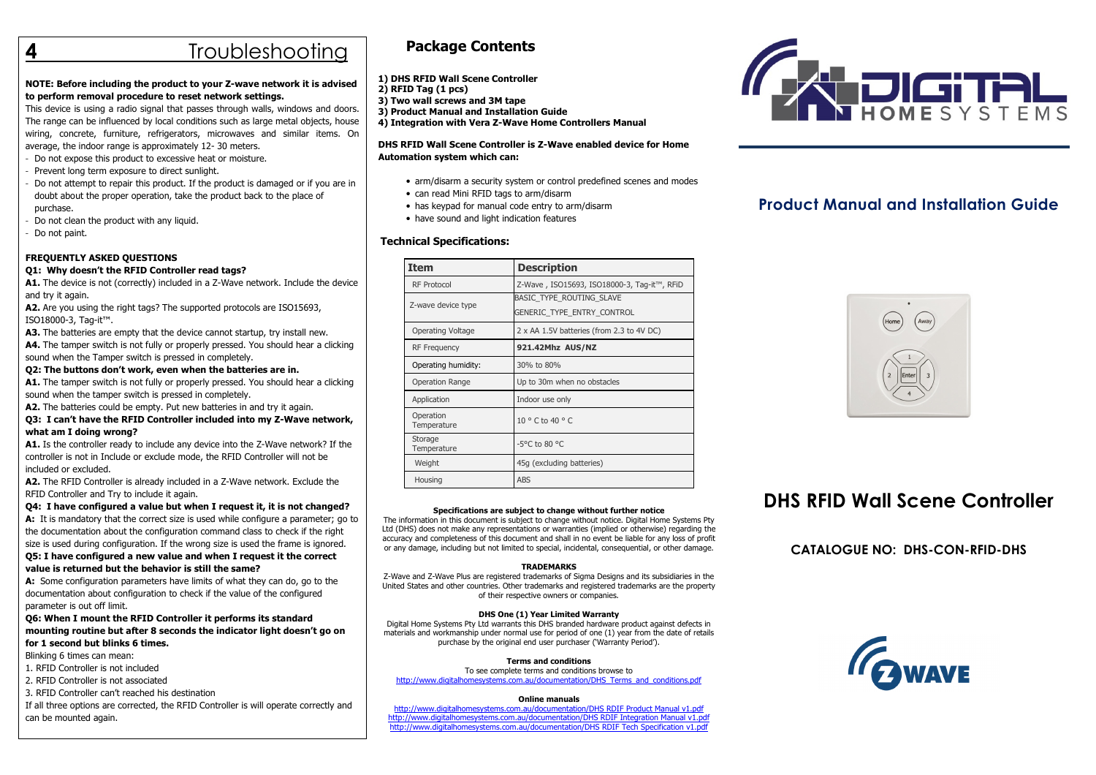# **Troubleshooting**

## NOTE: Before including the product to your Z-wave network it is advised to perform removal procedure to reset network settings.

 This device is using a radio signal that passes through walls, windows and doors. The range can be influenced by local conditions such as large metal objects, house wiring, concrete, furniture, refrigerators, microwaves and similar items. On average, the indoor range is approximately 12- 30 meters.

- Do not expose this product to excessive heat or moisture.
- Prevent long term exposure to direct sunlight.
- Do not attempt to repair this product. If the product is damaged or if you are in doubt about the proper operation, take the product back to the place of purchase.
- Do not clean the product with any liquid.
- Do not paint.

## FREQUENTLY ASKED QUESTIONS

### Q1: Why doesn't the RFID Controller read tags?

A1. The device is not (correctly) included in a Z-Wave network. Include the device and try it again.

A2. Are you using the right tags? The supported protocols are ISO15693, ISO18000-3, Tag-it™.

A3. The batteries are empty that the device cannot startup, try install new.

A4. The tamper switch is not fully or properly pressed. You should hear a clicking sound when the Tamper switch is pressed in completely.

### Q2: The buttons don't work, even when the batteries are in.

A1. The tamper switch is not fully or properly pressed. You should hear a clicking sound when the tamper switch is pressed in completely.

A2. The batteries could be empty. Put new batteries in and try it again.

### Q3: I can't have the RFID Controller included into my Z-Wave network, what am I doing wrong?

A1. Is the controller ready to include any device into the Z-Wave network? If the controller is not in Include or exclude mode, the RFID Controller will not be included or excluded.

A2. The RFID Controller is already included in a Z-Wave network. Exclude the RFID Controller and Try to include it again.

# Q4: I have configured a value but when I request it, it is not changed?

A: It is mandatory that the correct size is used while configure a parameter; go to the documentation about the configuration command class to check if the right size is used during configuration. If the wrong size is used the frame is ignored.

Q5: I have configured a new value and when I request it the correct value is returned but the behavior is still the same?

A: Some configuration parameters have limits of what they can do, go to the documentation about configuration to check if the value of the configured parameter is out off limit.

 Q6: When I mount the RFID Controller it performs its standard mounting routine but after 8 seconds the indicator light doesn't go on for 1 second but blinks 6 times.

Blinking 6 times can mean:

1. RFID Controller is not included

2. RFID Controller is not associated

3. RFID Controller can't reached his destination

 If all three options are corrected, the RFID Controller is will operate correctly and can be mounted again.

# Package Contents

1) DHS RFID Wall Scene Controller 2) RFID Tag (1 pcs) 3) Two wall screws and 3M tape 3) Product Manual and Installation Guide

4) Integration with Vera Z-Wave Home Controllers Manual

### DHS RFID Wall Scene Controller is Z-Wave enabled device for Home Automation system which can:

- arm/disarm a security system or control predefined scenes and modes
- can read Mini RFID tags to arm/disarm
- has keypad for manual code entry to arm/disarm
- have sound and light indication features

## Technical Specifications:

| Item                     | <b>Description</b>                                     |
|--------------------------|--------------------------------------------------------|
| <b>RF Protocol</b>       | Z-Wave, ISO15693, ISO18000-3, Tag-it™, RFiD            |
| Z-wave device type       | BASIC TYPE ROUTING SLAVE<br>GENERIC TYPE ENTRY CONTROL |
| Operating Voltage        | 2 x AA 1.5V batteries (from 2.3 to 4V DC)              |
| <b>RF Frequency</b>      | 921.42Mhz AUS/NZ                                       |
| Operating humidity:      | 30% to 80%                                             |
| <b>Operation Range</b>   | Up to 30m when no obstacles                            |
| Application              | Indoor use only                                        |
| Operation<br>Temperature | $10^{\circ}$ C to $40^{\circ}$ C                       |
| Storage<br>Temperature   | -5°C to 80 °C                                          |
| Weight                   | 45g (excluding batteries)                              |
| Housing                  | <b>ABS</b>                                             |

#### Specifications are subject to change without further notice

 The information in this document is subject to change without notice. Digital Home Systems Pty Ltd (DHS) does not make any representations or warranties (implied or otherwise) regarding the accuracy and completeness of this document and shall in no event be liable for any loss of profit or any damage, including but not limited to special, incidental, consequential, or other damage.

### TRADEMARKS

 Z-Wave and Z-Wave Plus are registered trademarks of Sigma Designs and its subsidiaries in the United States and other countries. Other trademarks and registered trademarks are the property of their respective owners or companies.

#### DHS One (1) Year Limited Warranty

 Digital Home Systems Pty Ltd warrants this DHS branded hardware product against defects in materials and workmanship under normal use for period of one (1) year from the date of retails purchase by the original end user purchaser ('Warranty Period').

### Terms and conditions

 To see complete terms and conditions browse to http://www.digitalhomesystems.com.au/documentation/DHS\_Terms\_and\_conditions.pdf

#### Online manuals

http://www.digitalhomesystems.com.au/documentation/DHS RDIF Product Manual v1.pdf http://www.digitalhomesystems.com.au/documentation/DHS RDIF Integration Manual v1.pdfhttp://www.digitalhomesystems.com.au/documentation/DHS RDIF Tech Specification v1.pdf



# Product Manual and Installation Guide



# DHS RFID Wall Scene Controller

CATALOGUE NO: DHS-CON-RFID-DHS